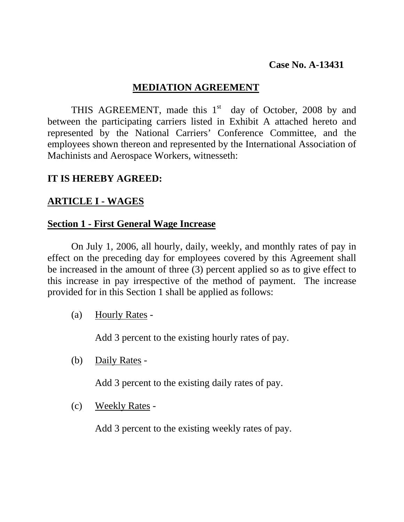# **Case No. A-13431**

# **MEDIATION AGREEMENT**

THIS AGREEMENT, made this  $1<sup>st</sup>$  day of October, 2008 by and between the participating carriers listed in Exhibit A attached hereto and represented by the National Carriers' Conference Committee, and the employees shown thereon and represented by the International Association of Machinists and Aerospace Workers, witnesseth:

# **IT IS HEREBY AGREED:**

# **ARTICLE I - WAGES**

## **Section 1 - First General Wage Increase**

 On July 1, 2006, all hourly, daily, weekly, and monthly rates of pay in effect on the preceding day for employees covered by this Agreement shall be increased in the amount of three (3) percent applied so as to give effect to this increase in pay irrespective of the method of payment. The increase provided for in this Section 1 shall be applied as follows:

(a) Hourly Rates -

Add 3 percent to the existing hourly rates of pay.

(b) Daily Rates -

Add 3 percent to the existing daily rates of pay.

(c) Weekly Rates -

Add 3 percent to the existing weekly rates of pay.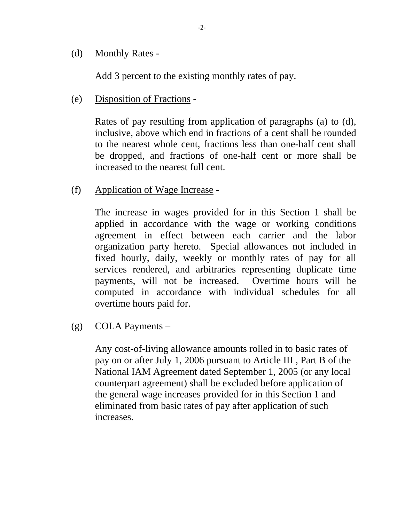(d) Monthly Rates -

Add 3 percent to the existing monthly rates of pay.

(e) Disposition of Fractions -

 Rates of pay resulting from application of paragraphs (a) to (d), inclusive, above which end in fractions of a cent shall be rounded to the nearest whole cent, fractions less than one-half cent shall be dropped, and fractions of one-half cent or more shall be increased to the nearest full cent.

(f) Application of Wage Increase -

The increase in wages provided for in this Section 1 shall be applied in accordance with the wage or working conditions agreement in effect between each carrier and the labor organization party hereto. Special allowances not included in fixed hourly, daily, weekly or monthly rates of pay for all services rendered, and arbitraries representing duplicate time payments, will not be increased. Overtime hours will be computed in accordance with individual schedules for all overtime hours paid for.

(g) COLA Payments –

 Any cost-of-living allowance amounts rolled in to basic rates of pay on or after July 1, 2006 pursuant to Article III , Part B of the National IAM Agreement dated September 1, 2005 (or any local counterpart agreement) shall be excluded before application of the general wage increases provided for in this Section 1 and eliminated from basic rates of pay after application of such increases.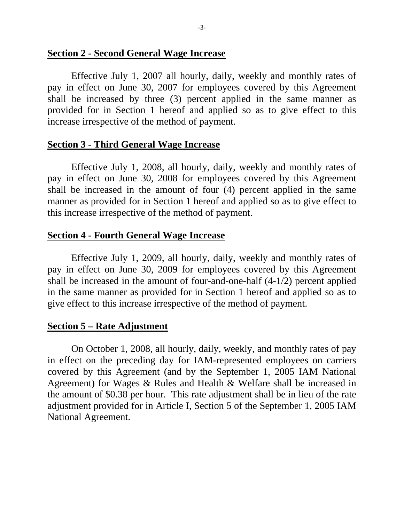#### **Section 2 - Second General Wage Increase**

 Effective July 1, 2007 all hourly, daily, weekly and monthly rates of pay in effect on June 30, 2007 for employees covered by this Agreement shall be increased by three (3) percent applied in the same manner as provided for in Section 1 hereof and applied so as to give effect to this increase irrespective of the method of payment.

#### **Section 3 - Third General Wage Increase**

 Effective July 1, 2008, all hourly, daily, weekly and monthly rates of pay in effect on June 30, 2008 for employees covered by this Agreement shall be increased in the amount of four (4) percent applied in the same manner as provided for in Section 1 hereof and applied so as to give effect to this increase irrespective of the method of payment.

## **Section 4 - Fourth General Wage Increase**

Effective July 1, 2009, all hourly, daily, weekly and monthly rates of pay in effect on June 30, 2009 for employees covered by this Agreement shall be increased in the amount of four-and-one-half (4-1/2) percent applied in the same manner as provided for in Section 1 hereof and applied so as to give effect to this increase irrespective of the method of payment.

#### **Section 5 – Rate Adjustment**

 On October 1, 2008, all hourly, daily, weekly, and monthly rates of pay in effect on the preceding day for IAM-represented employees on carriers covered by this Agreement (and by the September 1, 2005 IAM National Agreement) for Wages & Rules and Health & Welfare shall be increased in the amount of \$0.38 per hour. This rate adjustment shall be in lieu of the rate adjustment provided for in Article I, Section 5 of the September 1, 2005 IAM National Agreement.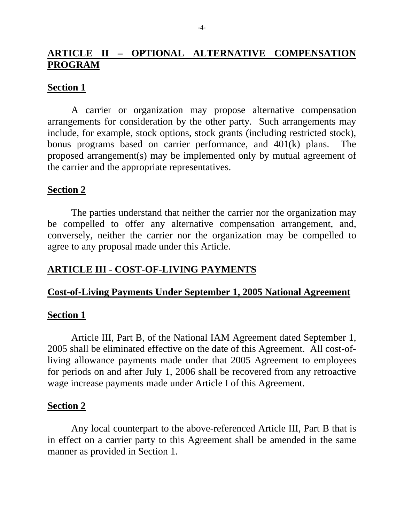# **ARTICLE II – OPTIONAL ALTERNATIVE COMPENSATION PROGRAM**

## **Section 1**

 A carrier or organization may propose alternative compensation arrangements for consideration by the other party. Such arrangements may include, for example, stock options, stock grants (including restricted stock), bonus programs based on carrier performance, and 401(k) plans. The proposed arrangement(s) may be implemented only by mutual agreement of the carrier and the appropriate representatives.

#### **Section 2**

 The parties understand that neither the carrier nor the organization may be compelled to offer any alternative compensation arrangement, and, conversely, neither the carrier nor the organization may be compelled to agree to any proposal made under this Article.

# **ARTICLE III - COST-OF-LIVING PAYMENTS**

## **Cost-of-Living Payments Under September 1, 2005 National Agreement**

#### **Section 1**

 Article III, Part B, of the National IAM Agreement dated September 1, 2005 shall be eliminated effective on the date of this Agreement. All cost-ofliving allowance payments made under that 2005 Agreement to employees for periods on and after July 1, 2006 shall be recovered from any retroactive wage increase payments made under Article I of this Agreement.

#### **Section 2**

 Any local counterpart to the above-referenced Article III, Part B that is in effect on a carrier party to this Agreement shall be amended in the same manner as provided in Section 1.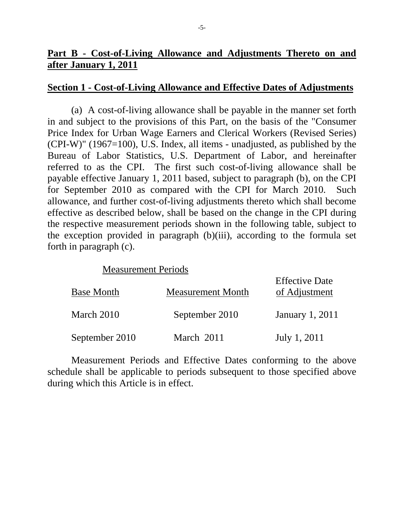# **Part B - Cost-of-Living Allowance and Adjustments Thereto on and after January 1, 2011**

#### **Section 1 - Cost-of-Living Allowance and Effective Dates of Adjustments**

(a) A cost-of-living allowance shall be payable in the manner set forth in and subject to the provisions of this Part, on the basis of the "Consumer Price Index for Urban Wage Earners and Clerical Workers (Revised Series)  $(CPI-W)$ " (1967=100), U.S. Index, all items - unadjusted, as published by the Bureau of Labor Statistics, U.S. Department of Labor, and hereinafter referred to as the CPI. The first such cost-of-living allowance shall be payable effective January 1, 2011 based, subject to paragraph (b), on the CPI for September 2010 as compared with the CPI for March 2010. Such allowance, and further cost-of-living adjustments thereto which shall become effective as described below, shall be based on the change in the CPI during the respective measurement periods shown in the following table, subject to the exception provided in paragraph (b)(iii), according to the formula set forth in paragraph (c).

## Measurement Periods

| <b>Base Month</b> | <b>Measurement Month</b> | <b>Effective Date</b><br>of Adjustment |
|-------------------|--------------------------|----------------------------------------|
| March 2010        | September 2010           | <b>January 1, 2011</b>                 |
| September 2010    | March 2011               | July 1, 2011                           |

Measurement Periods and Effective Dates conforming to the above schedule shall be applicable to periods subsequent to those specified above during which this Article is in effect.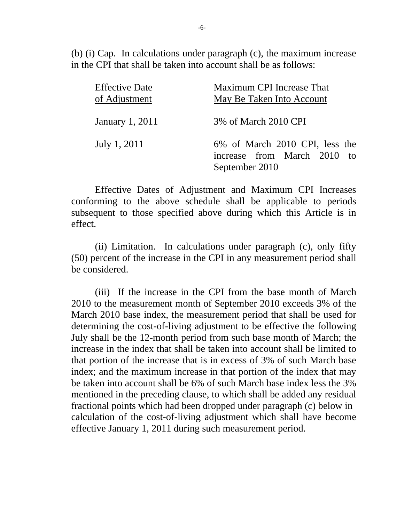(b) (i) Cap. In calculations under paragraph (c), the maximum increase in the CPI that shall be taken into account shall be as follows:

| <b>Effective Date</b><br>of Adjustment | Maximum CPI Increase That<br>May Be Taken Into Account                          |  |  |
|----------------------------------------|---------------------------------------------------------------------------------|--|--|
| January 1, 2011                        | 3% of March 2010 CPI                                                            |  |  |
| July 1, 2011                           | 6% of March 2010 CPI, less the<br>increase from March 2010 to<br>September 2010 |  |  |

Effective Dates of Adjustment and Maximum CPI Increases conforming to the above schedule shall be applicable to periods subsequent to those specified above during which this Article is in effect.

 (ii) Limitation. In calculations under paragraph (c), only fifty (50) percent of the increase in the CPI in any measurement period shall be considered.

(iii) If the increase in the CPI from the base month of March 2010 to the measurement month of September 2010 exceeds 3% of the March 2010 base index, the measurement period that shall be used for determining the cost-of-living adjustment to be effective the following July shall be the 12-month period from such base month of March; the increase in the index that shall be taken into account shall be limited to that portion of the increase that is in excess of 3% of such March base index; and the maximum increase in that portion of the index that may be taken into account shall be 6% of such March base index less the 3% mentioned in the preceding clause, to which shall be added any residual fractional points which had been dropped under paragraph (c) below in calculation of the cost-of-living adjustment which shall have become effective January 1, 2011 during such measurement period.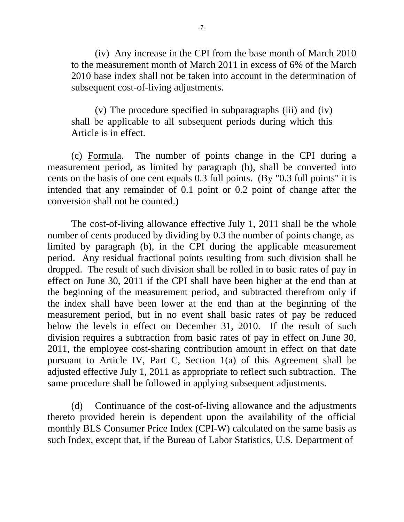(iv) Any increase in the CPI from the base month of March 2010 to the measurement month of March 2011 in excess of 6% of the March 2010 base index shall not be taken into account in the determination of subsequent cost-of-living adjustments.

(v) The procedure specified in subparagraphs (iii) and (iv) shall be applicable to all subsequent periods during which this Article is in effect.

(c) Formula. The number of points change in the CPI during a measurement period, as limited by paragraph (b), shall be converted into cents on the basis of one cent equals 0.3 full points. (By "0.3 full points" it is intended that any remainder of 0.1 point or 0.2 point of change after the conversion shall not be counted.)

The cost-of-living allowance effective July 1, 2011 shall be the whole number of cents produced by dividing by 0.3 the number of points change, as limited by paragraph (b), in the CPI during the applicable measurement period. Any residual fractional points resulting from such division shall be dropped. The result of such division shall be rolled in to basic rates of pay in effect on June 30, 2011 if the CPI shall have been higher at the end than at the beginning of the measurement period, and subtracted therefrom only if the index shall have been lower at the end than at the beginning of the measurement period, but in no event shall basic rates of pay be reduced below the levels in effect on December 31, 2010. If the result of such division requires a subtraction from basic rates of pay in effect on June 30, 2011, the employee cost-sharing contribution amount in effect on that date pursuant to Article IV, Part C, Section 1(a) of this Agreement shall be adjusted effective July 1, 2011 as appropriate to reflect such subtraction. The same procedure shall be followed in applying subsequent adjustments.

(d) Continuance of the cost-of-living allowance and the adjustments thereto provided herein is dependent upon the availability of the official monthly BLS Consumer Price Index (CPI-W) calculated on the same basis as such Index, except that, if the Bureau of Labor Statistics, U.S. Department of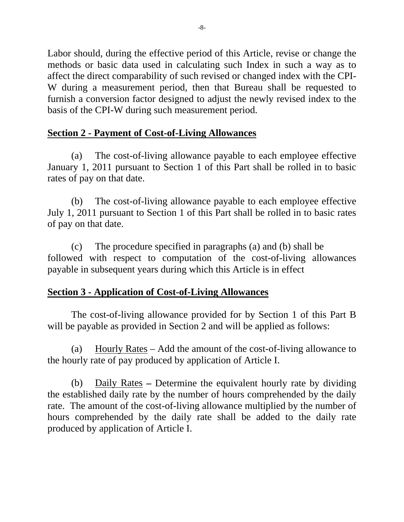Labor should, during the effective period of this Article, revise or change the methods or basic data used in calculating such Index in such a way as to affect the direct comparability of such revised or changed index with the CPI-W during a measurement period, then that Bureau shall be requested to furnish a conversion factor designed to adjust the newly revised index to the basis of the CPI-W during such measurement period.

# **Section 2 - Payment of Cost-of-Living Allowances**

(a) The cost-of-living allowance payable to each employee effective January 1, 2011 pursuant to Section 1 of this Part shall be rolled in to basic rates of pay on that date.

(b) The cost-of-living allowance payable to each employee effective July 1, 2011 pursuant to Section 1 of this Part shall be rolled in to basic rates of pay on that date.

(c) The procedure specified in paragraphs (a) and (b) shall be followed with respect to computation of the cost-of-living allowances payable in subsequent years during which this Article is in effect

# **Section 3 - Application of Cost-of-Living Allowances**

The cost-of-living allowance provided for by Section 1 of this Part B will be payable as provided in Section 2 and will be applied as follows:

(a) Hourly Rates – Add the amount of the cost-of-living allowance to the hourly rate of pay produced by application of Article I.

(b) Daily Rates **–** Determine the equivalent hourly rate by dividing the established daily rate by the number of hours comprehended by the daily rate. The amount of the cost-of-living allowance multiplied by the number of hours comprehended by the daily rate shall be added to the daily rate produced by application of Article I.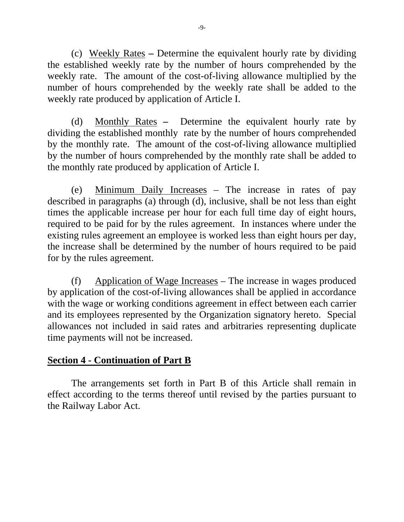(c) Weekly Rates **–** Determine the equivalent hourly rate by dividing the established weekly rate by the number of hours comprehended by the weekly rate. The amount of the cost-of-living allowance multiplied by the number of hours comprehended by the weekly rate shall be added to the weekly rate produced by application of Article I.

(d) Monthly Rates **–** Determine the equivalent hourly rate by dividing the established monthly rate by the number of hours comprehended by the monthly rate. The amount of the cost-of-living allowance multiplied by the number of hours comprehended by the monthly rate shall be added to the monthly rate produced by application of Article I.

(e) Minimum Daily Increases – The increase in rates of pay described in paragraphs (a) through (d), inclusive, shall be not less than eight times the applicable increase per hour for each full time day of eight hours, required to be paid for by the rules agreement. In instances where under the existing rules agreement an employee is worked less than eight hours per day, the increase shall be determined by the number of hours required to be paid for by the rules agreement.

(f) Application of Wage Increases – The increase in wages produced by application of the cost-of-living allowances shall be applied in accordance with the wage or working conditions agreement in effect between each carrier and its employees represented by the Organization signatory hereto. Special allowances not included in said rates and arbitraries representing duplicate time payments will not be increased.

# **Section 4 - Continuation of Part B**

The arrangements set forth in Part B of this Article shall remain in effect according to the terms thereof until revised by the parties pursuant to the Railway Labor Act.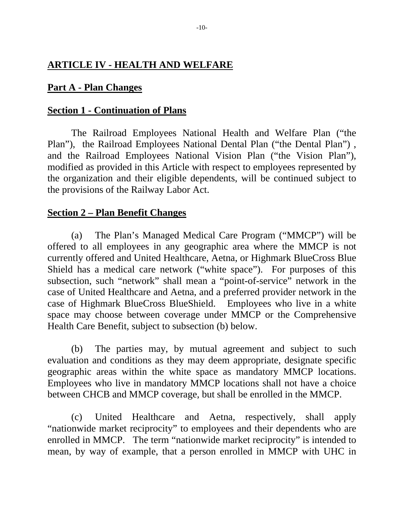# **ARTICLE IV - HEALTH AND WELFARE**

# **Part A - Plan Changes**

## **Section 1 - Continuation of Plans**

The Railroad Employees National Health and Welfare Plan ("the Plan"), the Railroad Employees National Dental Plan ("the Dental Plan") , and the Railroad Employees National Vision Plan ("the Vision Plan"), modified as provided in this Article with respect to employees represented by the organization and their eligible dependents, will be continued subject to the provisions of the Railway Labor Act.

# **Section 2 – Plan Benefit Changes**

 (a) The Plan's Managed Medical Care Program ("MMCP") will be offered to all employees in any geographic area where the MMCP is not currently offered and United Healthcare, Aetna, or Highmark BlueCross Blue Shield has a medical care network ("white space"). For purposes of this subsection, such "network" shall mean a "point-of-service" network in the case of United Healthcare and Aetna, and a preferred provider network in the case of Highmark BlueCross BlueShield. Employees who live in a white space may choose between coverage under MMCP or the Comprehensive Health Care Benefit, subject to subsection (b) below.

 (b) The parties may, by mutual agreement and subject to such evaluation and conditions as they may deem appropriate, designate specific geographic areas within the white space as mandatory MMCP locations. Employees who live in mandatory MMCP locations shall not have a choice between CHCB and MMCP coverage, but shall be enrolled in the MMCP.

 (c) United Healthcare and Aetna, respectively, shall apply "nationwide market reciprocity" to employees and their dependents who are enrolled in MMCP. The term "nationwide market reciprocity" is intended to mean, by way of example, that a person enrolled in MMCP with UHC in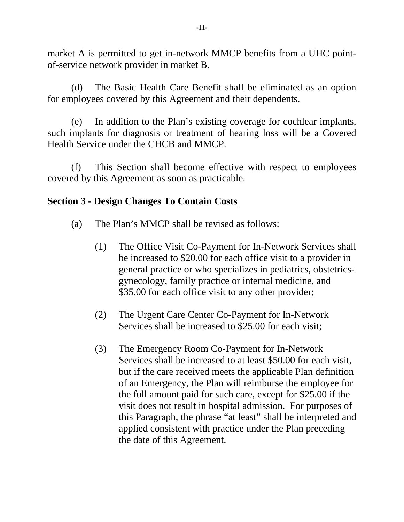market A is permitted to get in-network MMCP benefits from a UHC pointof-service network provider in market B.

 (d) The Basic Health Care Benefit shall be eliminated as an option for employees covered by this Agreement and their dependents.

 (e) In addition to the Plan's existing coverage for cochlear implants, such implants for diagnosis or treatment of hearing loss will be a Covered Health Service under the CHCB and MMCP.

 (f) This Section shall become effective with respect to employees covered by this Agreement as soon as practicable.

# **Section 3 - Design Changes To Contain Costs**

- (a) The Plan's MMCP shall be revised as follows:
	- (1) The Office Visit Co-Payment for In-Network Services shall be increased to \$20.00 for each office visit to a provider in general practice or who specializes in pediatrics, obstetrics gynecology, family practice or internal medicine, and \$35.00 for each office visit to any other provider;
	- (2) The Urgent Care Center Co-Payment for In-Network Services shall be increased to \$25.00 for each visit;
	- (3) The Emergency Room Co-Payment for In-Network Services shall be increased to at least \$50.00 for each visit, but if the care received meets the applicable Plan definition of an Emergency, the Plan will reimburse the employee for the full amount paid for such care, except for \$25.00 if the visit does not result in hospital admission. For purposes of this Paragraph, the phrase "at least" shall be interpreted and applied consistent with practice under the Plan preceding the date of this Agreement.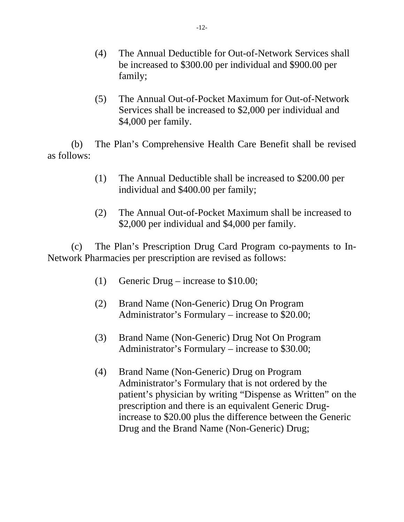- (4) The Annual Deductible for Out-of-Network Services shall be increased to \$300.00 per individual and \$900.00 per family;
- (5) The Annual Out-of-Pocket Maximum for Out-of-Network Services shall be increased to \$2,000 per individual and \$4,000 per family.

(b) The Plan's Comprehensive Health Care Benefit shall be revised as follows:

- (1) The Annual Deductible shall be increased to \$200.00 per individual and \$400.00 per family;
- (2) The Annual Out-of-Pocket Maximum shall be increased to \$2,000 per individual and \$4,000 per family.

(c) The Plan's Prescription Drug Card Program co-payments to In-Network Pharmacies per prescription are revised as follows:

- (1) Generic Drug increase to \$10.00;
- (2) Brand Name (Non-Generic) Drug On Program Administrator's Formulary – increase to \$20.00;
- (3) Brand Name (Non-Generic) Drug Not On Program Administrator's Formulary – increase to \$30.00;
- (4) Brand Name (Non-Generic) Drug on Program Administrator's Formulary that is not ordered by the patient's physician by writing "Dispense as Written" on the prescription and there is an equivalent Generic Drug increase to \$20.00 plus the difference between the Generic Drug and the Brand Name (Non-Generic) Drug;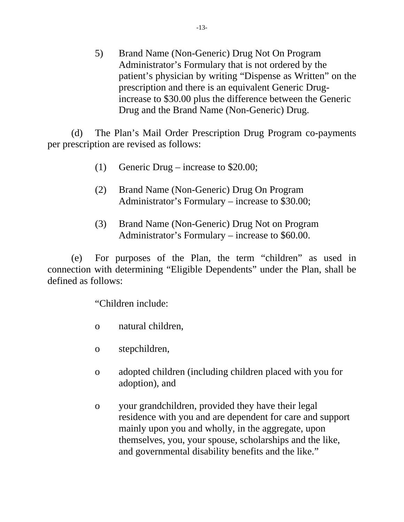5) Brand Name (Non-Generic) Drug Not On Program Administrator's Formulary that is not ordered by the patient's physician by writing "Dispense as Written" on the prescription and there is an equivalent Generic Drug increase to \$30.00 plus the difference between the Generic Drug and the Brand Name (Non-Generic) Drug.

(d) The Plan's Mail Order Prescription Drug Program co-payments per prescription are revised as follows:

- (1) Generic Drug increase to \$20.00;
- (2) Brand Name (Non-Generic) Drug On Program Administrator's Formulary – increase to \$30.00;
- (3) Brand Name (Non-Generic) Drug Not on Program Administrator's Formulary – increase to \$60.00.

 (e) For purposes of the Plan, the term "children" as used in connection with determining "Eligible Dependents" under the Plan, shall be defined as follows:

"Children include:

- o natural children,
- o stepchildren,
- o adopted children (including children placed with you for adoption), and
- o your grandchildren, provided they have their legal residence with you and are dependent for care and support mainly upon you and wholly, in the aggregate, upon themselves, you, your spouse, scholarships and the like, and governmental disability benefits and the like."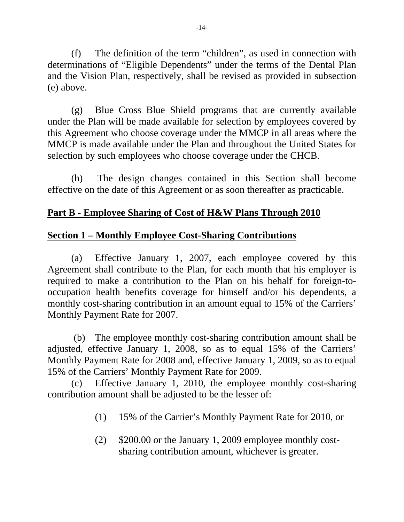(f) The definition of the term "children", as used in connection with determinations of "Eligible Dependents" under the terms of the Dental Plan and the Vision Plan, respectively, shall be revised as provided in subsection (e) above.

 (g) Blue Cross Blue Shield programs that are currently available under the Plan will be made available for selection by employees covered by this Agreement who choose coverage under the MMCP in all areas where the MMCP is made available under the Plan and throughout the United States for selection by such employees who choose coverage under the CHCB.

 (h) The design changes contained in this Section shall become effective on the date of this Agreement or as soon thereafter as practicable.

# **Part B - Employee Sharing of Cost of H&W Plans Through 2010**

# **Section 1 – Monthly Employee Cost-Sharing Contributions**

(a) Effective January 1, 2007, each employee covered by this Agreement shall contribute to the Plan, for each month that his employer is required to make a contribution to the Plan on his behalf for foreign-tooccupation health benefits coverage for himself and/or his dependents, a monthly cost-sharing contribution in an amount equal to 15% of the Carriers' Monthly Payment Rate for 2007.

 (b) The employee monthly cost-sharing contribution amount shall be adjusted, effective January 1, 2008, so as to equal 15% of the Carriers' Monthly Payment Rate for 2008 and, effective January 1, 2009, so as to equal 15% of the Carriers' Monthly Payment Rate for 2009.

(c) Effective January 1, 2010, the employee monthly cost-sharing contribution amount shall be adjusted to be the lesser of:

- (1) 15% of the Carrier's Monthly Payment Rate for 2010, or
- (2) \$200.00 or the January 1, 2009 employee monthly cost sharing contribution amount, whichever is greater.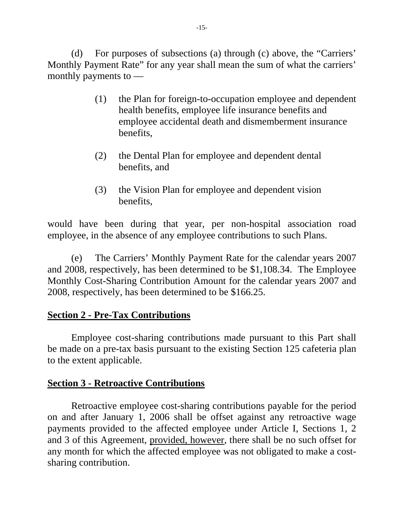(d) For purposes of subsections (a) through (c) above, the "Carriers' Monthly Payment Rate" for any year shall mean the sum of what the carriers' monthly payments to —

- (1) the Plan for foreign-to-occupation employee and dependent health benefits, employee life insurance benefits and employee accidental death and dismemberment insurance benefits,
- (2) the Dental Plan for employee and dependent dental benefits, and
- (3) the Vision Plan for employee and dependent vision benefits,

would have been during that year, per non-hospital association road employee, in the absence of any employee contributions to such Plans.

 (e) The Carriers' Monthly Payment Rate for the calendar years 2007 and 2008, respectively, has been determined to be \$1,108.34. The Employee Monthly Cost-Sharing Contribution Amount for the calendar years 2007 and 2008, respectively, has been determined to be \$166.25.

# **Section 2 - Pre-Tax Contributions**

Employee cost-sharing contributions made pursuant to this Part shall be made on a pre-tax basis pursuant to the existing Section 125 cafeteria plan to the extent applicable.

# **Section 3 - Retroactive Contributions**

Retroactive employee cost-sharing contributions payable for the period on and after January 1, 2006 shall be offset against any retroactive wage payments provided to the affected employee under Article I, Sections 1, 2 and 3 of this Agreement, provided, however, there shall be no such offset for any month for which the affected employee was not obligated to make a costsharing contribution.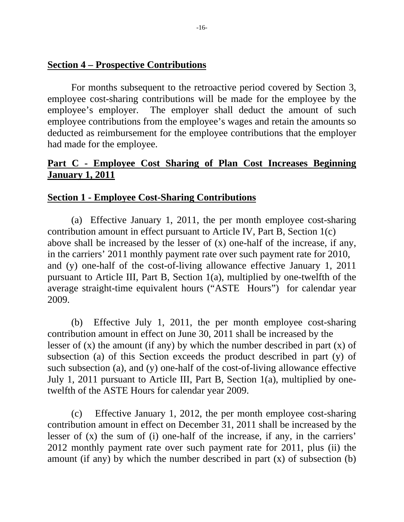## **Section 4 – Prospective Contributions**

For months subsequent to the retroactive period covered by Section 3, employee cost-sharing contributions will be made for the employee by the employee's employer. The employer shall deduct the amount of such employee contributions from the employee's wages and retain the amounts so deducted as reimbursement for the employee contributions that the employer had made for the employee.

# **Part C - Employee Cost Sharing of Plan Cost Increases Beginning January 1, 2011**

## **Section 1 - Employee Cost-Sharing Contributions**

 (a) Effective January 1, 2011, the per month employee cost-sharing contribution amount in effect pursuant to Article IV, Part B, Section 1(c) above shall be increased by the lesser of (x) one-half of the increase, if any, in the carriers' 2011 monthly payment rate over such payment rate for 2010, and (y) one-half of the cost-of-living allowance effective January 1, 2011 pursuant to Article III, Part B, Section 1(a), multiplied by one-twelfth of the average straight-time equivalent hours ("ASTE Hours") for calendar year 2009.

 (b) Effective July 1, 2011, the per month employee cost-sharing contribution amount in effect on June 30, 2011 shall be increased by the lesser of  $(x)$  the amount (if any) by which the number described in part  $(x)$  of subsection (a) of this Section exceeds the product described in part (y) of such subsection (a), and (y) one-half of the cost-of-living allowance effective July 1, 2011 pursuant to Article III, Part B, Section 1(a), multiplied by onetwelfth of the ASTE Hours for calendar year 2009.

 (c) Effective January 1, 2012, the per month employee cost-sharing contribution amount in effect on December 31, 2011 shall be increased by the lesser of (x) the sum of (i) one-half of the increase, if any, in the carriers' 2012 monthly payment rate over such payment rate for 2011, plus (ii) the amount (if any) by which the number described in part (x) of subsection (b)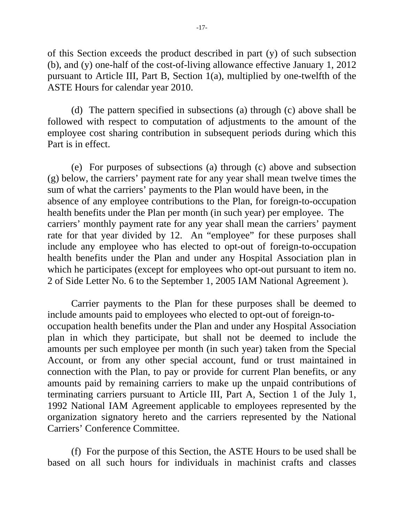of this Section exceeds the product described in part (y) of such subsection (b), and (y) one-half of the cost-of-living allowance effective January 1, 2012 pursuant to Article III, Part B, Section 1(a), multiplied by one-twelfth of the ASTE Hours for calendar year 2010.

 (d) The pattern specified in subsections (a) through (c) above shall be followed with respect to computation of adjustments to the amount of the employee cost sharing contribution in subsequent periods during which this Part is in effect.

 (e) For purposes of subsections (a) through (c) above and subsection (g) below, the carriers' payment rate for any year shall mean twelve times the sum of what the carriers' payments to the Plan would have been, in the absence of any employee contributions to the Plan, for foreign-to-occupation health benefits under the Plan per month (in such year) per employee. The carriers' monthly payment rate for any year shall mean the carriers' payment rate for that year divided by 12. An "employee" for these purposes shall include any employee who has elected to opt-out of foreign-to-occupation health benefits under the Plan and under any Hospital Association plan in which he participates (except for employees who opt-out pursuant to item no. 2 of Side Letter No. 6 to the September 1, 2005 IAM National Agreement ).

 Carrier payments to the Plan for these purposes shall be deemed to include amounts paid to employees who elected to opt-out of foreign-tooccupation health benefits under the Plan and under any Hospital Association plan in which they participate, but shall not be deemed to include the amounts per such employee per month (in such year) taken from the Special Account, or from any other special account, fund or trust maintained in connection with the Plan, to pay or provide for current Plan benefits, or any amounts paid by remaining carriers to make up the unpaid contributions of terminating carriers pursuant to Article III, Part A, Section 1 of the July 1, 1992 National IAM Agreement applicable to employees represented by the organization signatory hereto and the carriers represented by the National Carriers' Conference Committee.

 (f) For the purpose of this Section, the ASTE Hours to be used shall be based on all such hours for individuals in machinist crafts and classes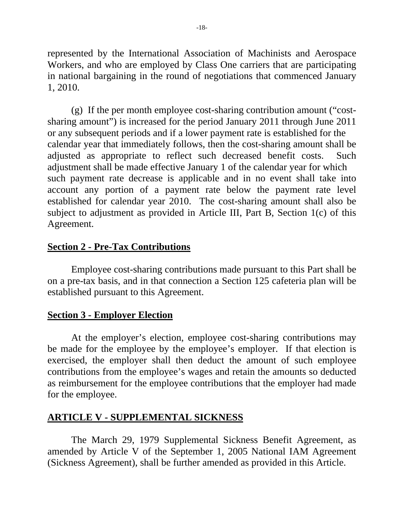represented by the International Association of Machinists and Aerospace Workers, and who are employed by Class One carriers that are participating in national bargaining in the round of negotiations that commenced January 1, 2010.

 (g) If the per month employee cost-sharing contribution amount ("costsharing amount") is increased for the period January 2011 through June 2011 or any subsequent periods and if a lower payment rate is established for the calendar year that immediately follows, then the cost-sharing amount shall be adjusted as appropriate to reflect such decreased benefit costs. Such adjustment shall be made effective January 1 of the calendar year for which such payment rate decrease is applicable and in no event shall take into account any portion of a payment rate below the payment rate level established for calendar year 2010. The cost-sharing amount shall also be subject to adjustment as provided in Article III, Part B, Section 1(c) of this Agreement.

# **Section 2 - Pre-Tax Contributions**

 Employee cost-sharing contributions made pursuant to this Part shall be on a pre-tax basis, and in that connection a Section 125 cafeteria plan will be established pursuant to this Agreement.

## **Section 3 - Employer Election**

 At the employer's election, employee cost-sharing contributions may be made for the employee by the employee's employer. If that election is exercised, the employer shall then deduct the amount of such employee contributions from the employee's wages and retain the amounts so deducted as reimbursement for the employee contributions that the employer had made for the employee.

# **ARTICLE V - SUPPLEMENTAL SICKNESS**

 The March 29, 1979 Supplemental Sickness Benefit Agreement, as amended by Article V of the September 1, 2005 National IAM Agreement (Sickness Agreement), shall be further amended as provided in this Article.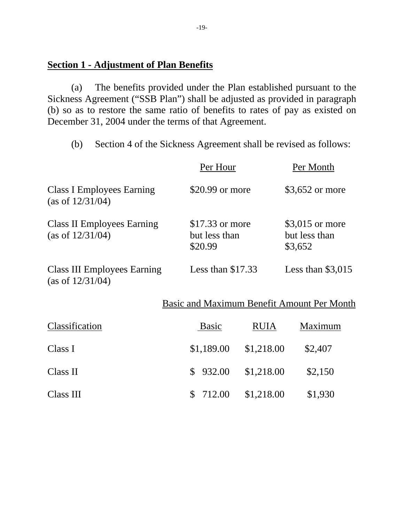## **Section 1 - Adjustment of Plan Benefits**

 (a) The benefits provided under the Plan established pursuant to the Sickness Agreement ("SSB Plan") shall be adjusted as provided in paragraph (b) so as to restore the same ratio of benefits to rates of pay as existed on December 31, 2004 under the terms of that Agreement.

(b) Section 4 of the Sickness Agreement shall be revised as follows:

|                                                           | Per Hour                                     |             | Per Month                                    |
|-----------------------------------------------------------|----------------------------------------------|-------------|----------------------------------------------|
| <b>Class I Employees Earning</b><br>(as of $12/31/04$ )   | \$20.99 or more                              |             | \$3,652 or more                              |
| <b>Class II Employees Earning</b><br>(as of $12/31/04$ )  | $$17.33$ or more<br>but less than<br>\$20.99 |             | $$3,015$ or more<br>but less than<br>\$3,652 |
| <b>Class III Employees Earning</b><br>(as of $12/31/04$ ) | Less than $$17.33$                           |             | Less than $$3,015$                           |
|                                                           |                                              |             | Basic and Maximum Benefit Amount Per Month   |
| Classification                                            | <b>Basic</b>                                 | <b>RUIA</b> | Maximum                                      |
| Class I                                                   | \$1,189.00                                   | \$1,218.00  | \$2,407                                      |
| Class II                                                  | 932.00<br>\$                                 | \$1,218.00  | \$2,150                                      |
|                                                           |                                              |             |                                              |

Class III \$ 712.00 \$1,218.00 \$1,930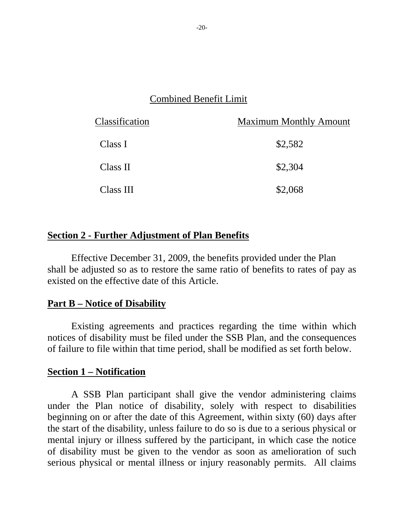# Combined Benefit Limit

| Classification | <b>Maximum Monthly Amount</b> |
|----------------|-------------------------------|
| Class I        | \$2,582                       |
| Class II       | \$2,304                       |
| Class III      | \$2,068                       |

# **Section 2 - Further Adjustment of Plan Benefits**

 Effective December 31, 2009, the benefits provided under the Plan shall be adjusted so as to restore the same ratio of benefits to rates of pay as existed on the effective date of this Article.

## **Part B – Notice of Disability**

 Existing agreements and practices regarding the time within which notices of disability must be filed under the SSB Plan, and the consequences of failure to file within that time period, shall be modified as set forth below.

#### **Section 1 – Notification**

 A SSB Plan participant shall give the vendor administering claims under the Plan notice of disability, solely with respect to disabilities beginning on or after the date of this Agreement, within sixty (60) days after the start of the disability, unless failure to do so is due to a serious physical or mental injury or illness suffered by the participant, in which case the notice of disability must be given to the vendor as soon as amelioration of such serious physical or mental illness or injury reasonably permits. All claims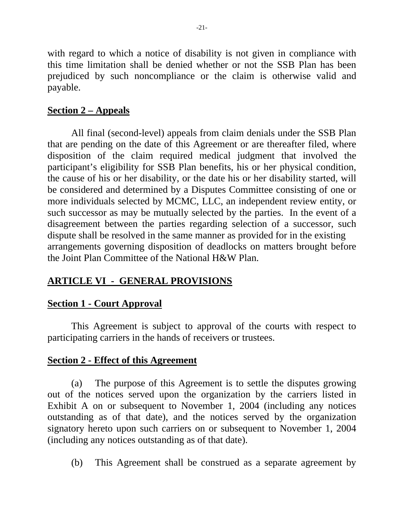with regard to which a notice of disability is not given in compliance with this time limitation shall be denied whether or not the SSB Plan has been prejudiced by such noncompliance or the claim is otherwise valid and payable.

# **Section 2 – Appeals**

 All final (second-level) appeals from claim denials under the SSB Plan that are pending on the date of this Agreement or are thereafter filed, where disposition of the claim required medical judgment that involved the participant's eligibility for SSB Plan benefits, his or her physical condition, the cause of his or her disability, or the date his or her disability started, will be considered and determined by a Disputes Committee consisting of one or more individuals selected by MCMC, LLC, an independent review entity, or such successor as may be mutually selected by the parties. In the event of a disagreement between the parties regarding selection of a successor, such dispute shall be resolved in the same manner as provided for in the existing arrangements governing disposition of deadlocks on matters brought before the Joint Plan Committee of the National H&W Plan.

# **ARTICLE VI - GENERAL PROVISIONS**

# **Section 1 - Court Approval**

This Agreement is subject to approval of the courts with respect to participating carriers in the hands of receivers or trustees.

# **Section 2 - Effect of this Agreement**

(a) The purpose of this Agreement is to settle the disputes growing out of the notices served upon the organization by the carriers listed in Exhibit A on or subsequent to November 1, 2004 (including any notices outstanding as of that date), and the notices served by the organization signatory hereto upon such carriers on or subsequent to November 1, 2004 (including any notices outstanding as of that date).

(b) This Agreement shall be construed as a separate agreement by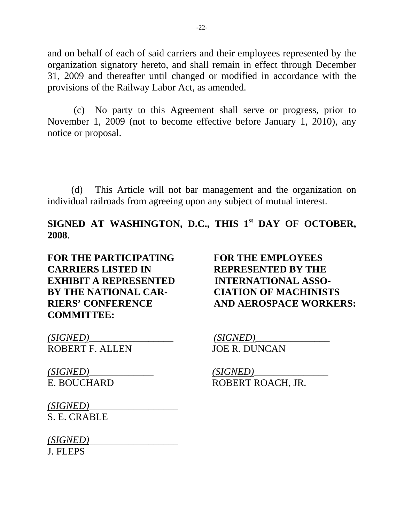and on behalf of each of said carriers and their employees represented by the organization signatory hereto, and shall remain in effect through December 31, 2009 and thereafter until changed or modified in accordance with the provisions of the Railway Labor Act, as amended.

 (c) No party to this Agreement shall serve or progress, prior to November 1, 2009 (not to become effective before January 1, 2010), any notice or proposal.

(d) This Article will not bar management and the organization on individual railroads from agreeing upon any subject of mutual interest.

SIGNED AT WASHINGTON, D.C., THIS 1<sup>st</sup> DAY OF OCTOBER, **2008**.

**FOR THE PARTICIPATING FOR THE EMPLOYEES CARRIERS LISTED IN REPRESENTED BY THE EXHIBIT A REPRESENTED INTERNATIONAL ASSO-BY THE NATIONAL CAR- CIATION OF MACHINISTS COMMITTEE:** 

**RIERS' CONFERENCE AND AEROSPACE WORKERS:**

*(SIGNED)*\_\_\_\_\_\_\_\_\_\_\_\_\_\_\_\_\_ *(SIGNED)*\_\_\_\_\_\_\_\_\_\_\_\_\_\_\_ ROBERT F. ALLEN JOE R. DUNCAN

*(SIGNED) (SIGNED)*<br>E. BOUCHARD **ROBERT R** 

ROBERT ROACH, JR.

*(SIGNED)*\_\_\_\_\_\_\_\_\_\_\_\_\_\_\_\_\_\_ S. E. CRABLE

*(SIGNED)*\_\_\_\_\_\_\_\_\_\_\_\_\_\_\_\_\_\_ J. FLEPS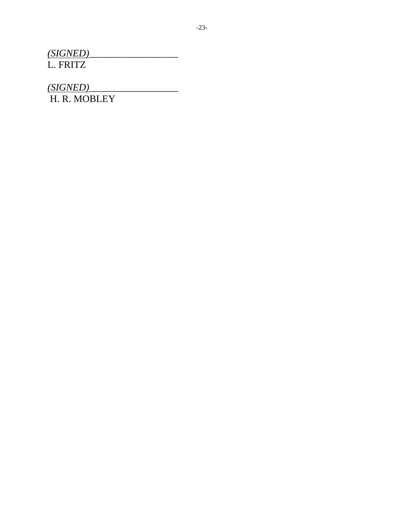*(SIGNED)*\_\_\_\_\_\_\_\_\_\_\_\_\_\_\_\_\_\_ L. FRITZ

*(SIGNED)*\_\_\_\_\_\_\_\_\_\_\_\_\_\_\_\_\_\_

H. R. MOBLEY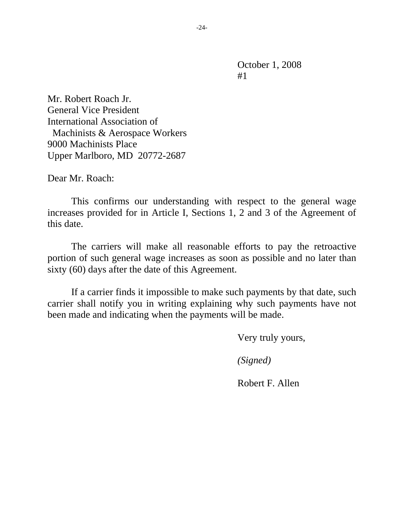Mr. Robert Roach Jr. General Vice President International Association of Machinists & Aerospace Workers 9000 Machinists Place Upper Marlboro, MD 20772-2687

Dear Mr. Roach:

 This confirms our understanding with respect to the general wage increases provided for in Article I, Sections 1, 2 and 3 of the Agreement of this date.

 The carriers will make all reasonable efforts to pay the retroactive portion of such general wage increases as soon as possible and no later than sixty (60) days after the date of this Agreement.

 If a carrier finds it impossible to make such payments by that date, such carrier shall notify you in writing explaining why such payments have not been made and indicating when the payments will be made.

Very truly yours,

*(Signed)* 

Robert F. Allen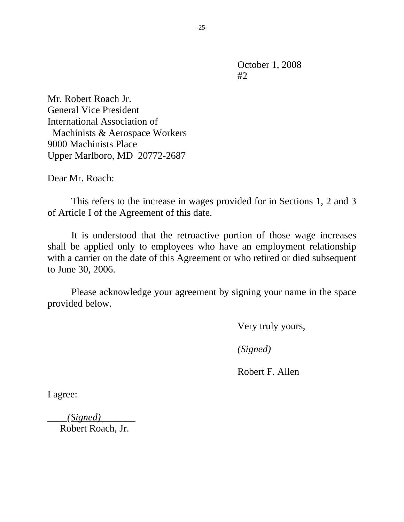Mr. Robert Roach Jr. General Vice President International Association of Machinists & Aerospace Workers 9000 Machinists Place Upper Marlboro, MD 20772-2687

Dear Mr. Roach:

 This refers to the increase in wages provided for in Sections 1, 2 and 3 of Article I of the Agreement of this date.

 It is understood that the retroactive portion of those wage increases shall be applied only to employees who have an employment relationship with a carrier on the date of this Agreement or who retired or died subsequent to June 30, 2006.

 Please acknowledge your agreement by signing your name in the space provided below.

Very truly yours,

*(Signed)* 

Robert F. Allen

I agree:

*\_\_\_\_(Signed)\_\_\_\_\_\_\_*  Robert Roach, Jr.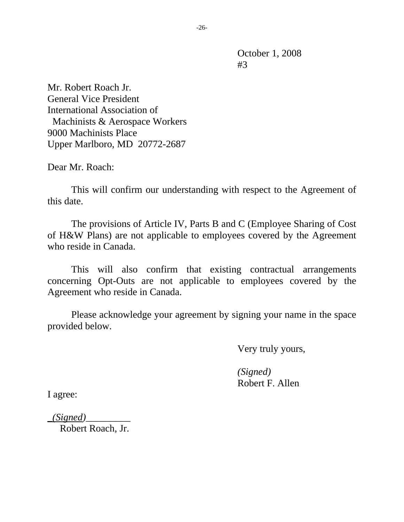Mr. Robert Roach Jr. General Vice President International Association of Machinists & Aerospace Workers 9000 Machinists Place Upper Marlboro, MD 20772-2687

Dear Mr. Roach:

 This will confirm our understanding with respect to the Agreement of this date.

 The provisions of Article IV, Parts B and C (Employee Sharing of Cost of H&W Plans) are not applicable to employees covered by the Agreement who reside in Canada.

 This will also confirm that existing contractual arrangements concerning Opt-Outs are not applicable to employees covered by the Agreement who reside in Canada.

 Please acknowledge your agreement by signing your name in the space provided below.

Very truly yours,

 *(Signed)*  Robert F. Allen

I agree:

*\_(Signed)\_\_\_\_\_\_\_\_\_* 

Robert Roach, Jr.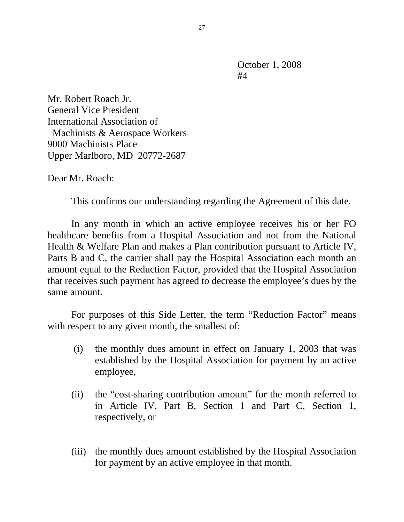Mr. Robert Roach Jr. General Vice President International Association of Machinists & Aerospace Workers 9000 Machinists Place Upper Marlboro, MD 20772-2687

Dear Mr. Roach:

This confirms our understanding regarding the Agreement of this date.

 In any month in which an active employee receives his or her FO healthcare benefits from a Hospital Association and not from the National Health & Welfare Plan and makes a Plan contribution pursuant to Article IV, Parts B and C, the carrier shall pay the Hospital Association each month an amount equal to the Reduction Factor, provided that the Hospital Association that receives such payment has agreed to decrease the employee's dues by the same amount.

 For purposes of this Side Letter, the term "Reduction Factor" means with respect to any given month, the smallest of:

- (i) the monthly dues amount in effect on January 1, 2003 that was established by the Hospital Association for payment by an active employee,
- (ii) the "cost-sharing contribution amount" for the month referred to in Article IV, Part B, Section 1 and Part C, Section 1, respectively, or
- (iii) the monthly dues amount established by the Hospital Association for payment by an active employee in that month.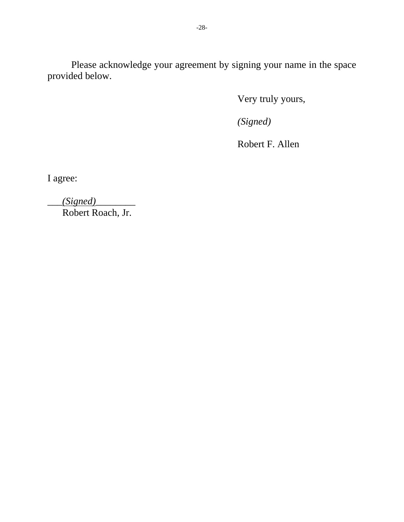Please acknowledge your agreement by signing your name in the space provided below.

Very truly yours,

*(Signed)* 

Robert F. Allen

I agree:

| (Signed)          |  |
|-------------------|--|
| Robert Roach, Jr. |  |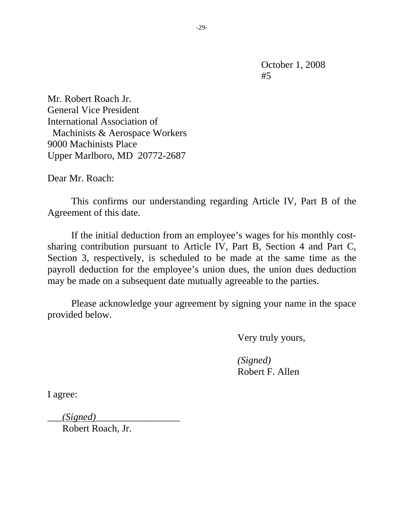Mr. Robert Roach Jr. General Vice President International Association of Machinists & Aerospace Workers 9000 Machinists Place Upper Marlboro, MD 20772-2687

Dear Mr. Roach:

 This confirms our understanding regarding Article IV, Part B of the Agreement of this date.

 If the initial deduction from an employee's wages for his monthly costsharing contribution pursuant to Article IV, Part B, Section 4 and Part C, Section 3, respectively, is scheduled to be made at the same time as the payroll deduction for the employee's union dues, the union dues deduction may be made on a subsequent date mutually agreeable to the parties.

 Please acknowledge your agreement by signing your name in the space provided below.

Very truly yours,

 *(Signed)*  Robert F. Allen

I agree:

 $(Signed)$ 

Robert Roach, Jr.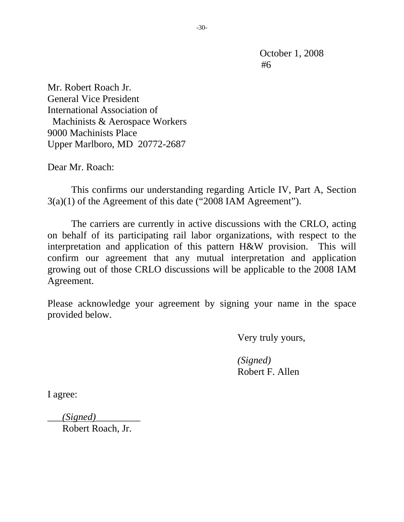Mr. Robert Roach Jr. General Vice President International Association of Machinists & Aerospace Workers 9000 Machinists Place Upper Marlboro, MD 20772-2687

Dear Mr. Roach:

 This confirms our understanding regarding Article IV, Part A, Section 3(a)(1) of the Agreement of this date ("2008 IAM Agreement").

The carriers are currently in active discussions with the CRLO, acting on behalf of its participating rail labor organizations, with respect to the interpretation and application of this pattern H&W provision. This will confirm our agreement that any mutual interpretation and application growing out of those CRLO discussions will be applicable to the 2008 IAM Agreement.

Please acknowledge your agreement by signing your name in the space provided below.

Very truly yours,

 *(Signed)*  Robert F. Allen

I agree:

\_\_\_*(Signed)*\_\_\_\_\_\_\_\_\_

Robert Roach, Jr.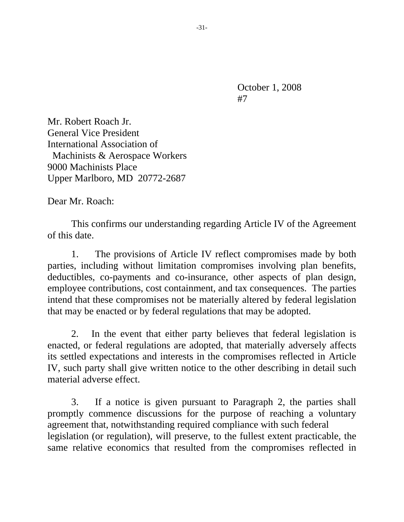Mr. Robert Roach Jr. General Vice President International Association of Machinists & Aerospace Workers 9000 Machinists Place Upper Marlboro, MD 20772-2687

Dear Mr. Roach:

 This confirms our understanding regarding Article IV of the Agreement of this date.

1. The provisions of Article IV reflect compromises made by both parties, including without limitation compromises involving plan benefits, deductibles, co-payments and co-insurance, other aspects of plan design, employee contributions, cost containment, and tax consequences. The parties intend that these compromises not be materially altered by federal legislation that may be enacted or by federal regulations that may be adopted.

2. In the event that either party believes that federal legislation is enacted, or federal regulations are adopted, that materially adversely affects its settled expectations and interests in the compromises reflected in Article IV, such party shall give written notice to the other describing in detail such material adverse effect.

3. If a notice is given pursuant to Paragraph 2, the parties shall promptly commence discussions for the purpose of reaching a voluntary agreement that, notwithstanding required compliance with such federal legislation (or regulation), will preserve, to the fullest extent practicable, the same relative economics that resulted from the compromises reflected in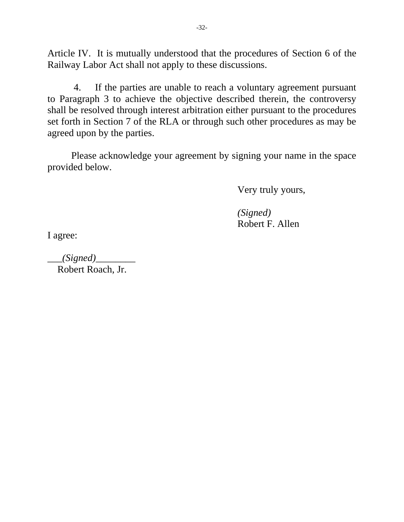Article IV. It is mutually understood that the procedures of Section 6 of the Railway Labor Act shall not apply to these discussions.

 4. If the parties are unable to reach a voluntary agreement pursuant to Paragraph 3 to achieve the objective described therein, the controversy shall be resolved through interest arbitration either pursuant to the procedures set forth in Section 7 of the RLA or through such other procedures as may be agreed upon by the parties.

Please acknowledge your agreement by signing your name in the space provided below.

Very truly yours,

 *(Signed)*  Robert F. Allen

I agree:

\_\_\_*(Signed)*\_\_\_\_\_\_\_\_ Robert Roach, Jr.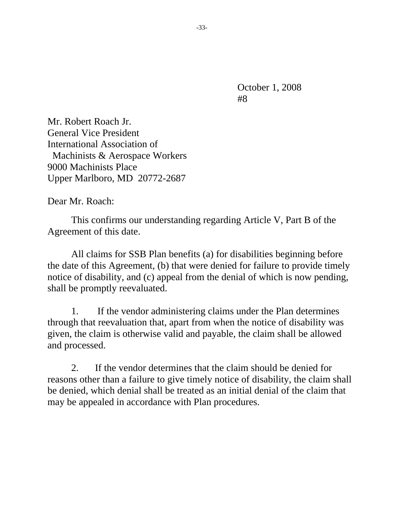Mr. Robert Roach Jr. General Vice President International Association of Machinists & Aerospace Workers 9000 Machinists Place Upper Marlboro, MD 20772-2687

Dear Mr. Roach:

This confirms our understanding regarding Article V, Part B of the Agreement of this date.

All claims for SSB Plan benefits (a) for disabilities beginning before the date of this Agreement, (b) that were denied for failure to provide timely notice of disability, and (c) appeal from the denial of which is now pending, shall be promptly reevaluated.

1. If the vendor administering claims under the Plan determines through that reevaluation that, apart from when the notice of disability was given, the claim is otherwise valid and payable, the claim shall be allowed and processed.

2. If the vendor determines that the claim should be denied for reasons other than a failure to give timely notice of disability, the claim shall be denied, which denial shall be treated as an initial denial of the claim that may be appealed in accordance with Plan procedures.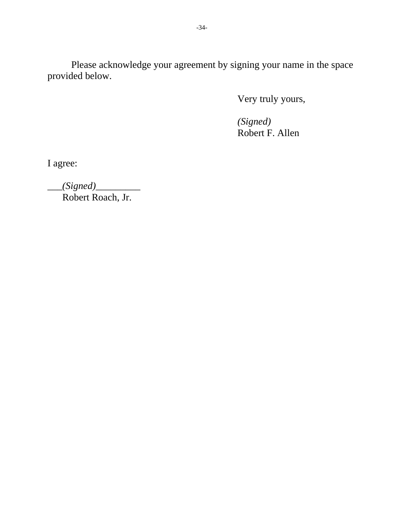Please acknowledge your agreement by signing your name in the space provided below.

Very truly yours,

 *(Signed)*  Robert F. Allen

I agree:

\_\_\_*(Signed)*\_\_\_\_\_\_\_\_\_ Robert Roach, Jr.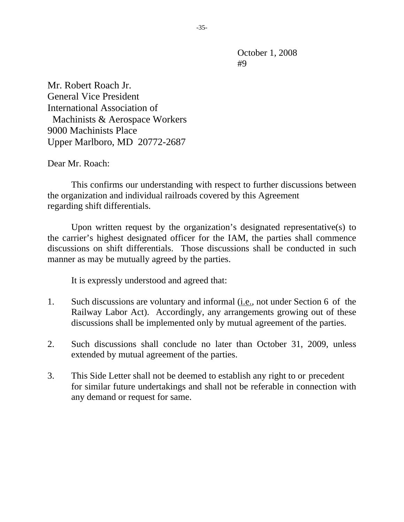Mr. Robert Roach Jr. General Vice President International Association of Machinists & Aerospace Workers 9000 Machinists Place Upper Marlboro, MD 20772-2687

Dear Mr. Roach:

 This confirms our understanding with respect to further discussions between the organization and individual railroads covered by this Agreement regarding shift differentials.

 Upon written request by the organization's designated representative(s) to the carrier's highest designated officer for the IAM, the parties shall commence discussions on shift differentials. Those discussions shall be conducted in such manner as may be mutually agreed by the parties.

It is expressly understood and agreed that:

- 1. Such discussions are voluntary and informal (i.e., not under Section 6 of the Railway Labor Act). Accordingly, any arrangements growing out of these discussions shall be implemented only by mutual agreement of the parties.
- 2. Such discussions shall conclude no later than October 31, 2009, unless extended by mutual agreement of the parties.
- 3. This Side Letter shall not be deemed to establish any right to or precedent for similar future undertakings and shall not be referable in connection with any demand or request for same.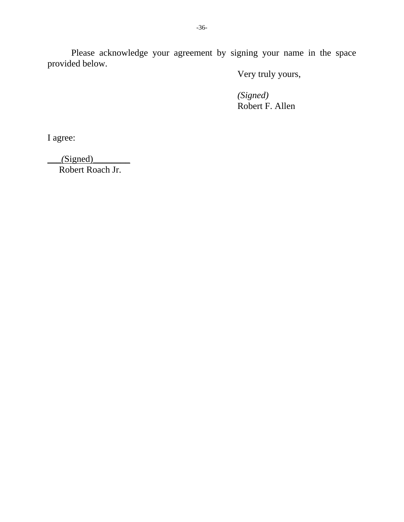Please acknowledge your agreement by signing your name in the space provided below.

Very truly yours,

 *(Signed)*  Robert F. Allen

I agree:

 $(Signed)$ 

Robert Roach Jr.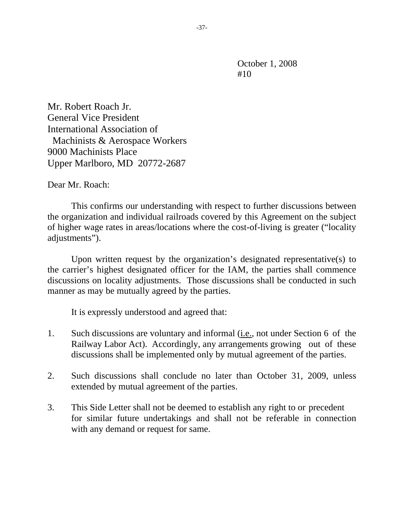Mr. Robert Roach Jr. General Vice President International Association of Machinists & Aerospace Workers 9000 Machinists Place Upper Marlboro, MD 20772-2687

Dear Mr. Roach:

 This confirms our understanding with respect to further discussions between the organization and individual railroads covered by this Agreement on the subject of higher wage rates in areas/locations where the cost-of-living is greater ("locality adjustments").

 Upon written request by the organization's designated representative(s) to the carrier's highest designated officer for the IAM, the parties shall commence discussions on locality adjustments. Those discussions shall be conducted in such manner as may be mutually agreed by the parties.

It is expressly understood and agreed that:

- 1. Such discussions are voluntary and informal (i.e., not under Section 6 of the Railway Labor Act). Accordingly, any arrangements growing out of these discussions shall be implemented only by mutual agreement of the parties.
- 2. Such discussions shall conclude no later than October 31, 2009, unless extended by mutual agreement of the parties.
- 3. This Side Letter shall not be deemed to establish any right to or precedent for similar future undertakings and shall not be referable in connection with any demand or request for same.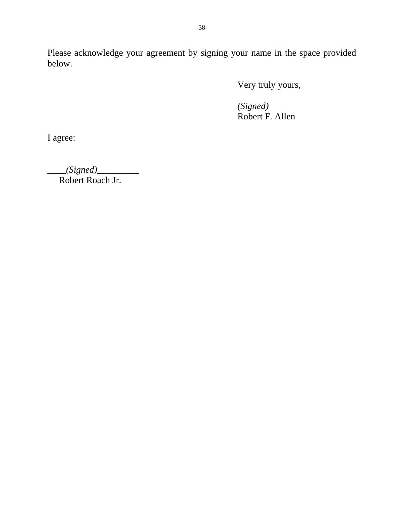Please acknowledge your agreement by signing your name in the space provided below.

Very truly yours,

 *(Signed)* Robert F. Allen

I agree:

\_\_\_\_*(Signed)*\_\_\_\_\_\_\_\_\_ Robert Roach Jr.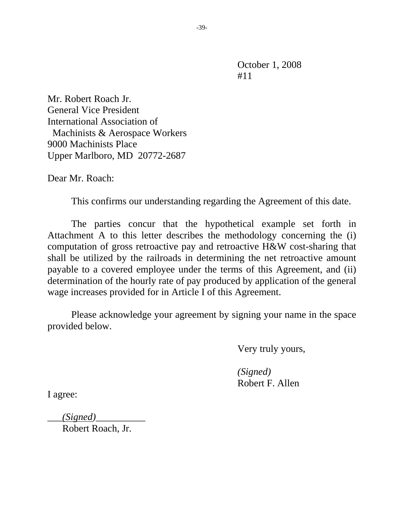Mr. Robert Roach Jr. General Vice President International Association of Machinists & Aerospace Workers 9000 Machinists Place Upper Marlboro, MD 20772-2687

Dear Mr. Roach:

This confirms our understanding regarding the Agreement of this date.

The parties concur that the hypothetical example set forth in Attachment A to this letter describes the methodology concerning the (i) computation of gross retroactive pay and retroactive H&W cost-sharing that shall be utilized by the railroads in determining the net retroactive amount payable to a covered employee under the terms of this Agreement, and (ii) determination of the hourly rate of pay produced by application of the general wage increases provided for in Article I of this Agreement.

Please acknowledge your agreement by signing your name in the space provided below.

Very truly yours,

 *(Signed)*  Robert F. Allen

I agree:

\_\_\_*(Signed)*\_\_\_\_\_\_\_\_\_\_

Robert Roach, Jr.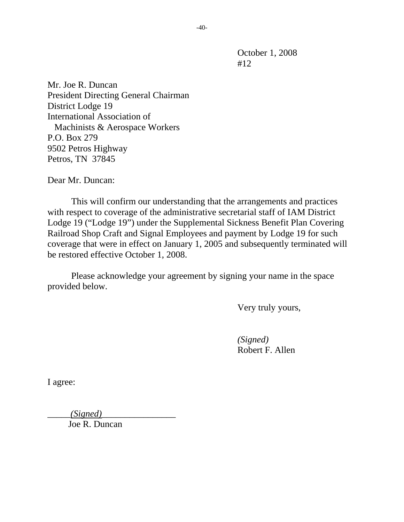Mr. Joe R. Duncan President Directing General Chairman District Lodge 19 International Association of Machinists & Aerospace Workers P.O. Box 279 9502 Petros Highway Petros, TN 37845

Dear Mr. Duncan:

 This will confirm our understanding that the arrangements and practices with respect to coverage of the administrative secretarial staff of IAM District Lodge 19 ("Lodge 19") under the Supplemental Sickness Benefit Plan Covering Railroad Shop Craft and Signal Employees and payment by Lodge 19 for such coverage that were in effect on January 1, 2005 and subsequently terminated will be restored effective October 1, 2008.

 Please acknowledge your agreement by signing your name in the space provided below.

Very truly yours,

 *(Signed)*  Robert F. Allen

I agree:

\_\_\_\_\_*(Signed)*\_\_\_\_\_\_\_\_\_\_\_\_\_\_\_\_

Joe R. Duncan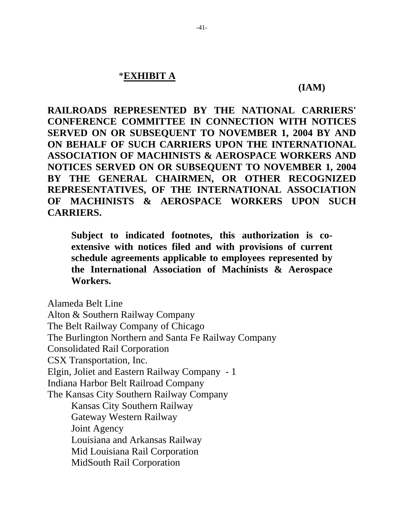## \***EXHIBIT A**

#### **(IAM)**

**RAILROADS REPRESENTED BY THE NATIONAL CARRIERS' CONFERENCE COMMITTEE IN CONNECTION WITH NOTICES SERVED ON OR SUBSEQUENT TO NOVEMBER 1, 2004 BY AND ON BEHALF OF SUCH CARRIERS UPON THE INTERNATIONAL ASSOCIATION OF MACHINISTS & AEROSPACE WORKERS AND NOTICES SERVED ON OR SUBSEQUENT TO NOVEMBER 1, 2004 BY THE GENERAL CHAIRMEN, OR OTHER RECOGNIZED REPRESENTATIVES, OF THE INTERNATIONAL ASSOCIATION OF MACHINISTS & AEROSPACE WORKERS UPON SUCH CARRIERS.** 

**Subject to indicated footnotes, this authorization is coextensive with notices filed and with provisions of current schedule agreements applicable to employees represented by the International Association of Machinists & Aerospace Workers.** 

Alameda Belt Line Alton & Southern Railway Company The Belt Railway Company of Chicago The Burlington Northern and Santa Fe Railway Company Consolidated Rail Corporation CSX Transportation, Inc. Elgin, Joliet and Eastern Railway Company - 1 Indiana Harbor Belt Railroad Company The Kansas City Southern Railway Company Kansas City Southern Railway Gateway Western Railway Joint Agency Louisiana and Arkansas Railway Mid Louisiana Rail Corporation MidSouth Rail Corporation